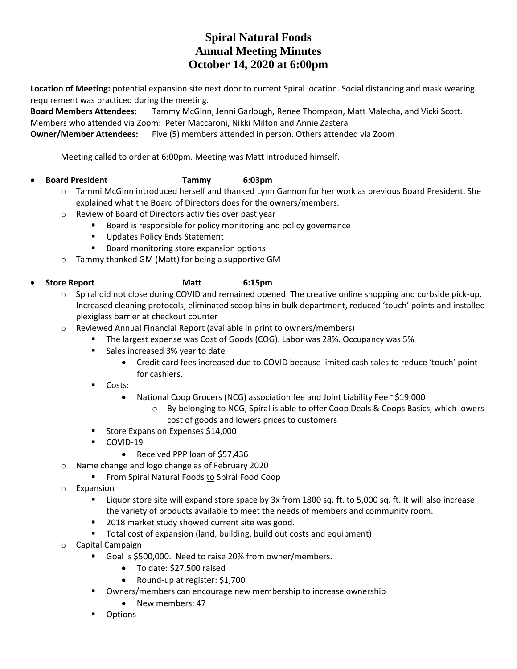# **Spiral Natural Foods Annual Meeting Minutes October 14, 2020 at 6:00pm**

**Location of Meeting:** potential expansion site next door to current Spiral location. Social distancing and mask wearing requirement was practiced during the meeting.

**Board Members Attendees:** Tammy McGinn, Jenni Garlough, Renee Thompson, Matt Malecha, and Vicki Scott. Members who attended via Zoom: Peter Maccaroni, Nikki Milton and Annie Zastera

**Owner/Member Attendees:** Five (5) members attended in person. Others attended via Zoom

Meeting called to order at 6:00pm. Meeting was Matt introduced himself.

## **Board President Tammy 6:03pm**

- o Tammi McGinn introduced herself and thanked Lynn Gannon for her work as previous Board President. She explained what the Board of Directors does for the owners/members.
- o Review of Board of Directors activities over past year
	- **Board is responsible for policy monitoring and policy governance**
	- **Updates Policy Ends Statement**
	- **Board monitoring store expansion options**
- o Tammy thanked GM (Matt) for being a supportive GM

# **Store Report Matt 6:15pm**

- o Spiral did not close during COVID and remained opened. The creative online shopping and curbside pick-up. Increased cleaning protocols, eliminated scoop bins in bulk department, reduced 'touch' points and installed plexiglass barrier at checkout counter
- o Reviewed Annual Financial Report (available in print to owners/members)
	- The largest expense was Cost of Goods (COG). Labor was 28%. Occupancy was 5%
	- Sales increased 3% year to date
		- Credit card fees increased due to COVID because limited cash sales to reduce 'touch' point for cashiers.
	- **Costs:** 
		- National Coop Grocers (NCG) association fee and Joint Liability Fee ~\$19,000
			- o By belonging to NCG, Spiral is able to offer Coop Deals & Coops Basics, which lowers cost of goods and lowers prices to customers
	- Store Expansion Expenses \$14,000
	- COVID-19
		- Received PPP loan of \$57,436
- o Name change and logo change as of February 2020
	- **Filter** From Spiral Natural Foods to Spiral Food Coop
- o Expansion
	- Liquor store site will expand store space by 3x from 1800 sq. ft. to 5,000 sq. ft. It will also increase the variety of products available to meet the needs of members and community room.
	- 2018 market study showed current site was good.
	- **Total cost of expansion (land, building, build out costs and equipment)**
- o Capital Campaign
	- Goal is \$500,000. Need to raise 20% from owner/members.
		- To date: \$27,500 raised
		- Round-up at register: \$1,700
	- **•** Owners/members can encourage new membership to increase ownership
		- New members: 47
	- **•** Options